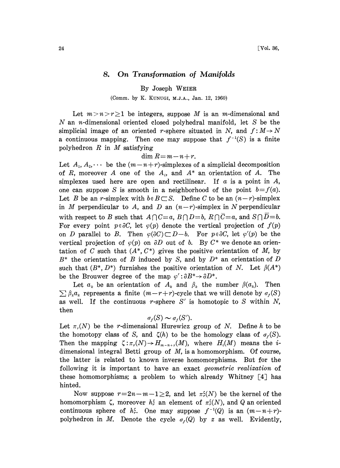## 8. On Transformation of Manifolds

By Joseph WEIER

(Comm. by K. KUNUGI, M.J.A., Jan. 12, 1960)

Let  $m>n\geq 1$  be integers, suppose M is an m-dimensional and  $N$  an *n*-dimensional oriented closed polyhedral manifold, let  $S$  be the simplicial image of an oriented r-sphere situated in N, and  $f: M \rightarrow N$ a continuous mapping. Then one may suppose that  $f^{-1}(S)$  is a finite polyhedron  $R$  in  $M$  satisfying

$$
\dim R = m - n + r.
$$

Let  $A_1, A_2, \cdots$  be the  $(m-n+r)$ -simplexes of a simplicial decomposition of R, moreover A one of the  $A_i$ , and  $A^*$  an orientation of A. The simplexes used here are open and rectilinear. If  $\alpha$  is a point in  $\ddot{A}$ , one can suppose S is smooth in a neighborhood of the point  $b=f(a)$ . Let B be an r-simplex with  $b \in B \subset S$ . Define C to be an  $(n-r)$ -simplex in M perpendicular to A, and D an  $(n-r)$ -simplex in N perpendicular with respect to B such that  $A \cap C = a$ ,  $B \cap D = b$ ,  $R \cap \overline{C} = a$ , and  $S \cap D = b$ . For every point  $p \in \partial C$ , let  $\varphi(p)$  denote the vertical projection of  $f(p)$ on D parallel to B. Then  $\varphi(\partial C) \subset D-b$ . For  $p \in \partial C$ , let  $\varphi'(p)$  be the vertical projection of  $\varphi(p)$  on  $\partial D$  out of b. By  $C^*$  we denote an orientation of C such that  $(A^*, C^*)$  gives the positive orientation of M, by  $B^*$  the orientation of B induced by S, and by  $D^*$  an orientation of D such that  $(B^*, D^*)$  furnishes the positive orientation of N. Let  $\beta(A^*)$ be the Brouwer degree of the map  $\varphi' : \partial B^* \to \partial D^*$ .

Let  $a_k$  be an orientation of  $A_k$  and  $\beta_k$  the number  $\beta(a_k)$ . Then  $\sum \beta_k a_k$  represents a finite  $(m-r+r)$ -cycle that we will denote by  $\sigma_r(S)$ as well. If the continuous r-sphere  $S'$  is homotopic to S within N, then

$$
\sigma_r(S) \sim \sigma_r(S').
$$

Let  $\pi_r(N)$  be the r-dimensional Hurewicz group of N. Define h to be the homotopy class of S, and  $\zeta(h)$  to be the homology class of  $\sigma_f(S)$ . Then the mapping  $\zeta: \pi_r(N) \to H_{m-n+r}(M)$ , where  $H_i(M)$  means the idimensional integral Betti group of  $M$ , is a homomorphism. Of course, the latter is related to known inverse homomorphisms. But for the following it is important to have an exact *geometric realization* of these homomorphisms; a problem to which already Whitney  $[4]$  has hinted.

Now suppose  $r=2n-m-1\geq 2$ , and let  $\pi_r^r(N)$  be the kernel of the homomorphism  $\zeta$ , moreover  $h_r^{\zeta}$  an element of  $\pi_r^{\zeta}(N)$ , and Q an oriented continuous sphere of  $h_r^{\zeta}$ . One may suppose  $f^{-1}(Q)$  is an  $(m-n+r)$ polyhedron in M. Denote the cycle  $\sigma_f(Q)$  by z as well. Evidently,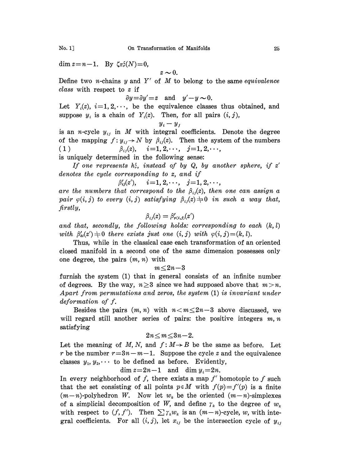dim  $z=n-1$ . By  $\zeta \pi_r^{\zeta}(N)=0$ ,

$$
z\sim 0.
$$

Define two *n*-chains  $y$  and  $Y'$  of  $M$  to belong to the same equivalence class with respect to z if

$$
\partial y = \partial y' = z \quad \text{and} \quad y' - y \sim 0.
$$

Let  $Y_i(z)$ ,  $i=1, 2, \dots$ , be the equivalence classes thus obtained, and suppose  $y_i$  is a chain of  $Y_i(z)$ . Then, for all pairs  $(i, j)$ ,

$$
y_i - y_j
$$

is an *n*-cycle  $y_{ij}$  in M with integral coefficients. Denote the degree of the mapping  $f: y_{ij} \to N$  by  $\beta_{ij}(z)$ . Then the system of the numbers (1)  $\beta_{ij}(z)$ ,  $i=1, 2, \dots, j=1, 2, \dots$ ,  $\beta_{ij}(z)$ ,  $i=1, 2, \cdots$ ,  $j=1, 2, \cdots$ ,

is uniquely determined in the following sense:

If one represents  $h_r^{\epsilon}$ , instead of by Q, by another sphere, if z' denotes the cycle corresponding to z, and if

$$
\beta'_{ij}(z'), \hspace{0.5cm} i\!=\!1,2,\!\cdot\!\cdot\!\cdot, \hspace{0.3cm} j\!=\!1,2,\!\cdot\!\cdot\!\cdot,
$$

are the numbers that correspond to the  $\beta_{ij}(z)$ , then one can assign a pair  $\varphi(i, j)$  to every  $(i, j)$  satisfying  $\beta_{ij}(z) \neq 0$  in such a way that, firstly,

$$
\beta_{ij}(z) = \beta'_{\varphi(i,j)}(z')
$$

and that, secondly, the following holds: corresponding to each  $(k, l)$ with  $\beta_{kl}(z')\neq 0$  there exists just one  $(i, j)$  with  $\varphi(i, j)=(k, l)$ .

Thus, while in the classical case each transformation of an oriented closed manifold in a second one of the same dimension possesses only one degree, the pairs  $(m, n)$  with

$$
m\!\le\!2n\!-\!3
$$

furnish the system (1) that in general consists of an infinite number of degrees. By the way,  $n \geq 3$  since we had supposed above that  $m > n$ . Apart from permutations and zeros, the system (1) is invariant under deformation of f.

Besides the pairs  $(m, n)$  with  $n < m \leq 2n-3$  above discussed, we will regard still another series of pairs: the positive integers  $m, n$ satisfying

## $2n < m < 3n-2$ .

Let the meaning of M, N, and  $f: M \rightarrow B$  be the same as before. Let r be the number  $r=3n-m-1$ . Suppose the cycle z and the equivalence classes  $y_1, y_2, \cdots$  to be defined as before. Evidently,

 $\dim z = 2n-1$  and  $\dim y_i = 2n$ .

In every neighborhood of f, there exists a map  $f'$  homotopic to f such that the set consisting of all points  $p \in M$  with  $f(p)=f'(p)$  is a finite  $(m-n)$ -polyhedron W. Now let  $w_k$  be the oriented  $(m-n)$ -simplexes of a simplicial decomposition of W, and define  $\gamma_k$  to the degree of  $w_k$ with respect to  $(f, f')$ . Then  $\sum \gamma_k w_k$  is an  $(m-n)$ -cycle, w, with integral coefficients. For all  $(i, j)$ , let  $x_{ij}$  be the intersection cycle of  $y_{ij}$